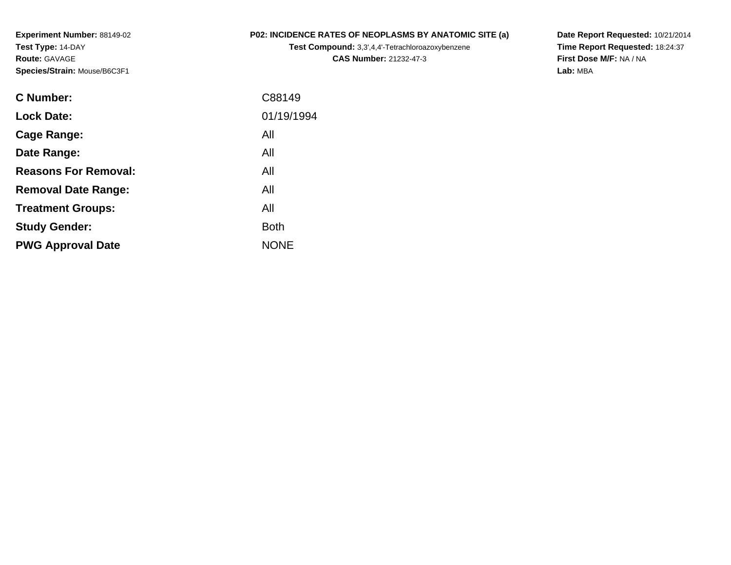**Experiment Number:** 88149-02**Test Type:** 14-DAY**Route:** GAVAGE**Species/Strain:** Mouse/B6C3F1

## **P02: INCIDENCE RATES OF NEOPLASMS BY ANATOMIC SITE (a)**

**Test Compound:** 3,3',4,4'-Tetrachloroazoxybenzene**CAS Number:** 21232-47-3

**Date Report Requested:** 10/21/2014 **Time Report Requested:** 18:24:37**First Dose M/F:** NA / NA**Lab:** MBA

| C Number:                   | C88149      |
|-----------------------------|-------------|
| <b>Lock Date:</b>           | 01/19/1994  |
| Cage Range:                 | All         |
| Date Range:                 | All         |
| <b>Reasons For Removal:</b> | All         |
| <b>Removal Date Range:</b>  | All         |
| <b>Treatment Groups:</b>    | All         |
| <b>Study Gender:</b>        | <b>Both</b> |
| <b>PWG Approval Date</b>    | <b>NONE</b> |
|                             |             |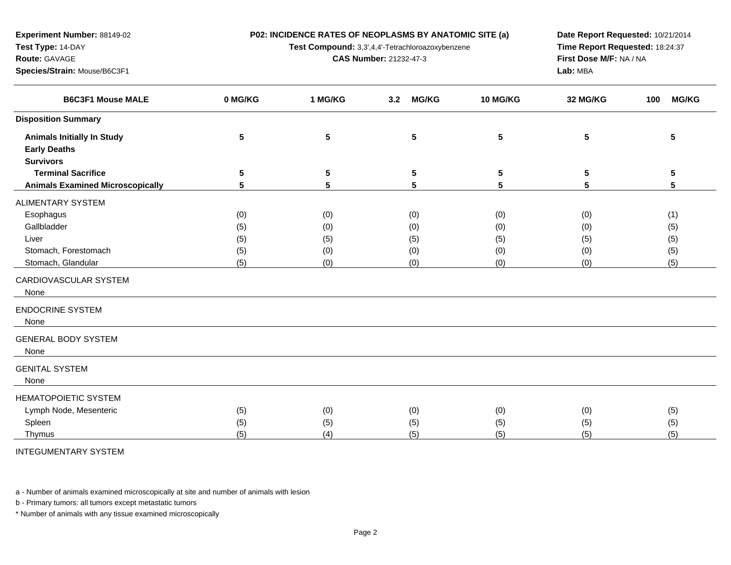**P02: INCIDENCE RATES OF NEOPLASMS BY ANATOMIC SITE (a)**

**Test Compound:** 3,3',4,4'-Tetrachloroazoxybenzene

**CAS Number:** 21232-47-3

**Date Report Requested:** 10/21/2014**Time Report Requested:** 18:24:37**First Dose M/F:** NA / NA**Lab:** MBA

| <b>B6C3F1 Mouse MALE</b>                                 | 0 MG/KG         | 1 MG/KG    | <b>MG/KG</b><br>3.2 | 10 MG/KG   | 32 MG/KG   | <b>MG/KG</b><br>100 |
|----------------------------------------------------------|-----------------|------------|---------------------|------------|------------|---------------------|
| <b>Disposition Summary</b>                               |                 |            |                     |            |            |                     |
| <b>Animals Initially In Study</b><br><b>Early Deaths</b> | $5\phantom{.0}$ | 5          | 5                   | 5          | 5          | 5                   |
| <b>Survivors</b>                                         |                 |            |                     |            |            |                     |
| <b>Terminal Sacrifice</b>                                | 5               | 5          | 5                   | 5          | 5          | 5                   |
| <b>Animals Examined Microscopically</b>                  | 5               | 5          | 5                   | 5          | 5          | 5                   |
| ALIMENTARY SYSTEM                                        |                 |            |                     |            |            |                     |
| Esophagus                                                | (0)             | (0)        | (0)                 | (0)        | (0)        | (1)                 |
| Gallbladder                                              | (5)             | (0)        | (0)                 | (0)        | (0)        | (5)                 |
| Liver                                                    | (5)             | (5)        |                     | (5)        |            | (5)                 |
| Stomach, Forestomach                                     |                 |            | (5)                 |            | (5)        |                     |
| Stomach, Glandular                                       | (5)<br>(5)      | (0)<br>(0) | (0)<br>(0)          | (0)<br>(0) | (0)<br>(0) | (5)<br>(5)          |
| CARDIOVASCULAR SYSTEM<br>None                            |                 |            |                     |            |            |                     |
| <b>ENDOCRINE SYSTEM</b><br>None                          |                 |            |                     |            |            |                     |
| <b>GENERAL BODY SYSTEM</b><br>None                       |                 |            |                     |            |            |                     |
| GENITAL SYSTEM<br>None                                   |                 |            |                     |            |            |                     |
| <b>HEMATOPOIETIC SYSTEM</b>                              |                 |            |                     |            |            |                     |
| Lymph Node, Mesenteric                                   | (5)             | (0)        | (0)                 | (0)        | (0)        | (5)                 |
| Spleen                                                   | (5)             | (5)        | (5)                 | (5)        | (5)        | (5)                 |
| Thymus                                                   | (5)             | (4)        | (5)                 | (5)        | (5)        | (5)                 |
|                                                          |                 |            |                     |            |            |                     |

INTEGUMENTARY SYSTEM

**Experiment Number:** 88149-02

**Species/Strain:** Mouse/B6C3F1

**Test Type:** 14-DAY**Route:** GAVAGE

a - Number of animals examined microscopically at site and number of animals with lesion

b - Primary tumors: all tumors except metastatic tumors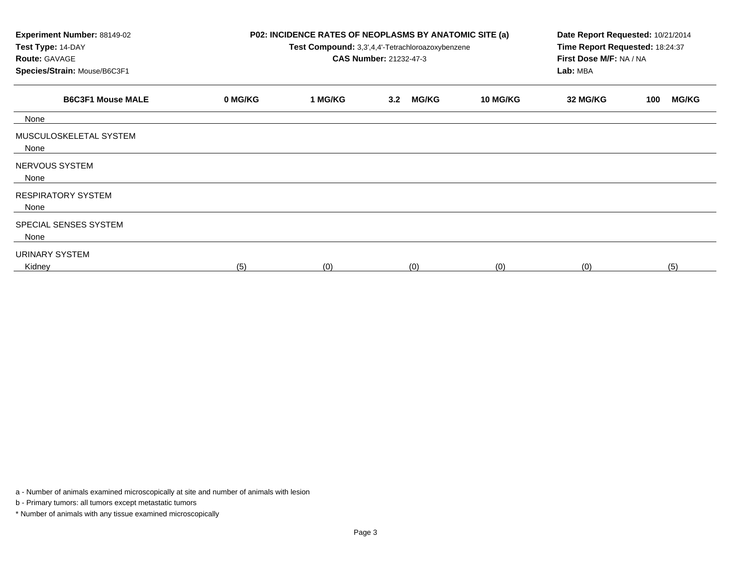| Experiment Number: 88149-02<br>Test Type: 14-DAY<br><b>Route: GAVAGE</b><br>Species/Strain: Mouse/B6C3F1 |         | P02: INCIDENCE RATES OF NEOPLASMS BY ANATOMIC SITE (a)<br>Test Compound: 3,3',4,4'-Tetrachloroazoxybenzene<br><b>CAS Number: 21232-47-3</b> | Date Report Requested: 10/21/2014<br>Time Report Requested: 18:24:37<br>First Dose M/F: NA / NA<br>Lab: MBA |                 |          |                     |
|----------------------------------------------------------------------------------------------------------|---------|---------------------------------------------------------------------------------------------------------------------------------------------|-------------------------------------------------------------------------------------------------------------|-----------------|----------|---------------------|
| <b>B6C3F1 Mouse MALE</b>                                                                                 | 0 MG/KG | 1 MG/KG                                                                                                                                     | <b>MG/KG</b><br>3.2                                                                                         | <b>10 MG/KG</b> | 32 MG/KG | <b>MG/KG</b><br>100 |
| None                                                                                                     |         |                                                                                                                                             |                                                                                                             |                 |          |                     |
| MUSCULOSKELETAL SYSTEM<br>None                                                                           |         |                                                                                                                                             |                                                                                                             |                 |          |                     |
| NERVOUS SYSTEM<br>None                                                                                   |         |                                                                                                                                             |                                                                                                             |                 |          |                     |
| <b>RESPIRATORY SYSTEM</b><br>None                                                                        |         |                                                                                                                                             |                                                                                                             |                 |          |                     |
| SPECIAL SENSES SYSTEM<br>None                                                                            |         |                                                                                                                                             |                                                                                                             |                 |          |                     |
| URINARY SYSTEM<br>Kidney                                                                                 | (5)     | (0)                                                                                                                                         | (0)                                                                                                         | (0)             | (0)      | (5)                 |

a - Number of animals examined microscopically at site and number of animals with lesion

b - Primary tumors: all tumors except metastatic tumors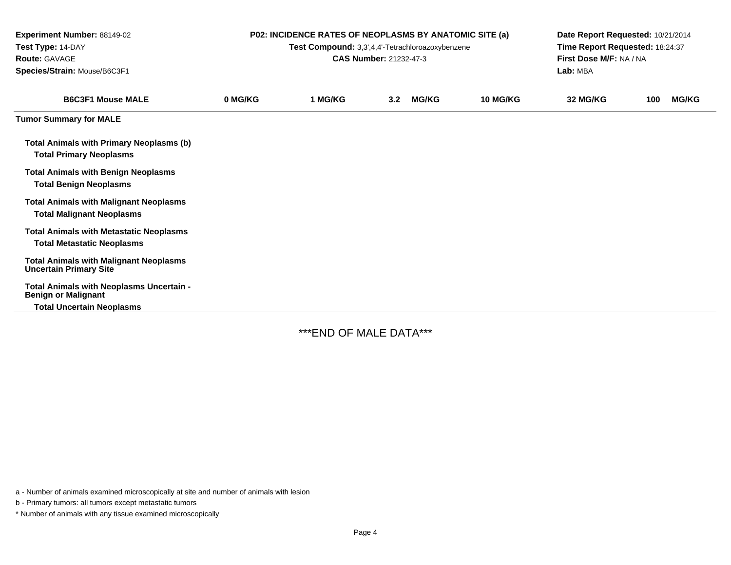| Experiment Number: 88149-02<br>Test Type: 14-DAY<br>Route: GAVAGE<br>Species/Strain: Mouse/B6C3F1 | P02: INCIDENCE RATES OF NEOPLASMS BY ANATOMIC SITE (a)<br>Test Compound: 3,3',4,4'-Tetrachloroazoxybenzene<br><b>CAS Number: 21232-47-3</b> |         |     |              |          | Date Report Requested: 10/21/2014<br>Time Report Requested: 18:24:37<br>First Dose M/F: NA / NA<br>Lab: MBA |     |              |  |
|---------------------------------------------------------------------------------------------------|---------------------------------------------------------------------------------------------------------------------------------------------|---------|-----|--------------|----------|-------------------------------------------------------------------------------------------------------------|-----|--------------|--|
| <b>B6C3F1 Mouse MALE</b>                                                                          | 0 MG/KG                                                                                                                                     | 1 MG/KG | 3.2 | <b>MG/KG</b> | 10 MG/KG | 32 MG/KG                                                                                                    | 100 | <b>MG/KG</b> |  |
| <b>Tumor Summary for MALE</b>                                                                     |                                                                                                                                             |         |     |              |          |                                                                                                             |     |              |  |
| <b>Total Animals with Primary Neoplasms (b)</b><br><b>Total Primary Neoplasms</b>                 |                                                                                                                                             |         |     |              |          |                                                                                                             |     |              |  |
| <b>Total Animals with Benign Neoplasms</b><br><b>Total Benign Neoplasms</b>                       |                                                                                                                                             |         |     |              |          |                                                                                                             |     |              |  |
| <b>Total Animals with Malignant Neoplasms</b><br><b>Total Malignant Neoplasms</b>                 |                                                                                                                                             |         |     |              |          |                                                                                                             |     |              |  |
| <b>Total Animals with Metastatic Neoplasms</b><br><b>Total Metastatic Neoplasms</b>               |                                                                                                                                             |         |     |              |          |                                                                                                             |     |              |  |
| <b>Total Animals with Malignant Neoplasms</b><br><b>Uncertain Primary Site</b>                    |                                                                                                                                             |         |     |              |          |                                                                                                             |     |              |  |
| Total Animals with Neoplasms Uncertain -<br><b>Benign or Malignant</b>                            |                                                                                                                                             |         |     |              |          |                                                                                                             |     |              |  |
| <b>Total Uncertain Neoplasms</b>                                                                  |                                                                                                                                             |         |     |              |          |                                                                                                             |     |              |  |

\*\*\*END OF MALE DATA\*\*\*

a - Number of animals examined microscopically at site and number of animals with lesion

b - Primary tumors: all tumors except metastatic tumors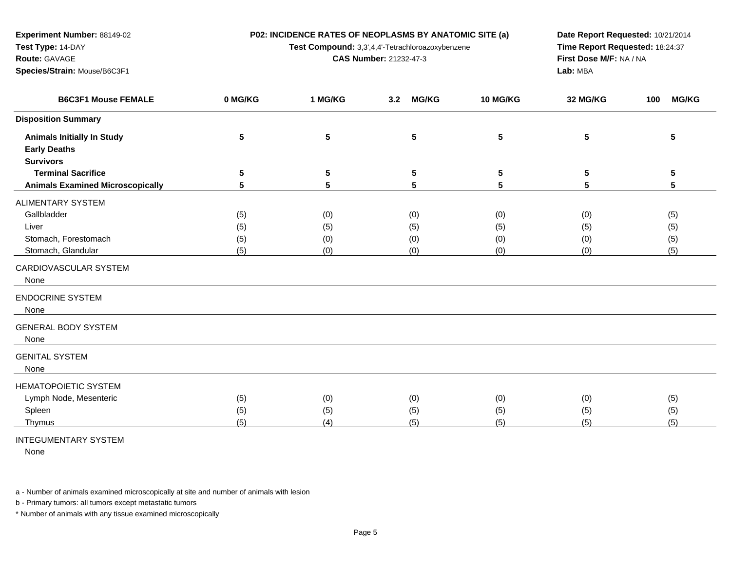**P02: INCIDENCE RATES OF NEOPLASMS BY ANATOMIC SITE (a)**

**Test Compound:** 3,3',4,4'-Tetrachloroazoxybenzene

**CAS Number:** 21232-47-3

**Date Report Requested:** 10/21/2014**Time Report Requested:** 18:24:37**First Dose M/F:** NA / NA**Lab:** MBA

| <b>B6C3F1 Mouse FEMALE</b>              | 0 MG/KG | 1 MG/KG    | <b>MG/KG</b><br>3.2 | <b>10 MG/KG</b> | 32 MG/KG | 100<br><b>MG/KG</b> |
|-----------------------------------------|---------|------------|---------------------|-----------------|----------|---------------------|
| <b>Disposition Summary</b>              |         |            |                     |                 |          |                     |
| <b>Animals Initially In Study</b>       | 5       | $\sqrt{5}$ | 5                   | 5               | 5        | 5                   |
| <b>Early Deaths</b>                     |         |            |                     |                 |          |                     |
| <b>Survivors</b>                        |         |            |                     |                 |          |                     |
| <b>Terminal Sacrifice</b>               | 5       | 5          | 5                   | 5               | 5        | 5                   |
| <b>Animals Examined Microscopically</b> | 5       | 5          | 5                   | 5               | 5        | 5                   |
| <b>ALIMENTARY SYSTEM</b>                |         |            |                     |                 |          |                     |
| Gallbladder                             | (5)     | (0)        | (0)                 | (0)             | (0)      | (5)                 |
| Liver                                   | (5)     | (5)        | (5)                 | (5)             | (5)      | (5)                 |
| Stomach, Forestomach                    | (5)     | (0)        | (0)                 | (0)             | (0)      | (5)                 |
| Stomach, Glandular                      | (5)     | (0)        | (0)                 | (0)             | (0)      | (5)                 |
| CARDIOVASCULAR SYSTEM<br>None           |         |            |                     |                 |          |                     |
| <b>ENDOCRINE SYSTEM</b><br>None         |         |            |                     |                 |          |                     |
| <b>GENERAL BODY SYSTEM</b><br>None      |         |            |                     |                 |          |                     |
| <b>GENITAL SYSTEM</b><br>None           |         |            |                     |                 |          |                     |
| <b>HEMATOPOIETIC SYSTEM</b>             |         |            |                     |                 |          |                     |
| Lymph Node, Mesenteric                  | (5)     | (0)        | (0)                 | (0)             | (0)      | (5)                 |
| Spleen                                  | (5)     | (5)        | (5)                 | (5)             | (5)      | (5)                 |
| Thymus                                  | (5)     | (4)        | (5)                 | (5)             | (5)      | (5)                 |

## INTEGUMENTARY SYSTEM

**Experiment Number:** 88149-02

**Species/Strain:** Mouse/B6C3F1

**Test Type:** 14-DAY**Route:** GAVAGE

None

a - Number of animals examined microscopically at site and number of animals with lesion

b - Primary tumors: all tumors except metastatic tumors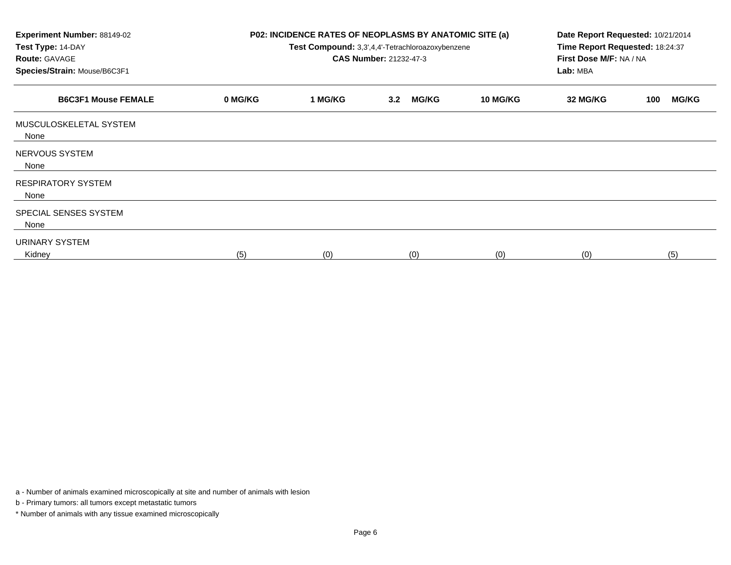| <b>Experiment Number: 88149-02</b><br>Test Type: 14-DAY<br><b>Route: GAVAGE</b><br>Species/Strain: Mouse/B6C3F1 | P02: INCIDENCE RATES OF NEOPLASMS BY ANATOMIC SITE (a)<br>Test Compound: 3,3',4,4'-Tetrachloroazoxybenzene<br><b>CAS Number: 21232-47-3</b> |         |                     |                 | Date Report Requested: 10/21/2014<br>Time Report Requested: 18:24:37<br>First Dose M/F: NA / NA<br>Lab: MBA |                     |  |
|-----------------------------------------------------------------------------------------------------------------|---------------------------------------------------------------------------------------------------------------------------------------------|---------|---------------------|-----------------|-------------------------------------------------------------------------------------------------------------|---------------------|--|
| <b>B6C3F1 Mouse FEMALE</b>                                                                                      | 0 MG/KG                                                                                                                                     | 1 MG/KG | <b>MG/KG</b><br>3.2 | <b>10 MG/KG</b> | 32 MG/KG                                                                                                    | <b>MG/KG</b><br>100 |  |
| MUSCULOSKELETAL SYSTEM<br>None                                                                                  |                                                                                                                                             |         |                     |                 |                                                                                                             |                     |  |
| NERVOUS SYSTEM<br>None                                                                                          |                                                                                                                                             |         |                     |                 |                                                                                                             |                     |  |
| <b>RESPIRATORY SYSTEM</b><br>None                                                                               |                                                                                                                                             |         |                     |                 |                                                                                                             |                     |  |
| SPECIAL SENSES SYSTEM<br>None                                                                                   |                                                                                                                                             |         |                     |                 |                                                                                                             |                     |  |
| URINARY SYSTEM<br>Kidney                                                                                        | (5)                                                                                                                                         | (0)     | (0)                 | (0)             | (0)                                                                                                         | (5)                 |  |

a - Number of animals examined microscopically at site and number of animals with lesion

b - Primary tumors: all tumors except metastatic tumors